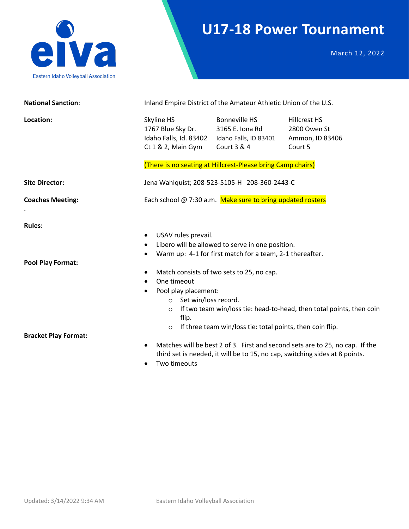

## **U17-18 Power Tournament**

March 12, 2022

| <b>National Sanction:</b>                                                |                                                                                                                                                                                                            | Inland Empire District of the Amateur Athletic Union of the U.S.                                                                                                                                                       |                                                                                                                                                             |  |
|--------------------------------------------------------------------------|------------------------------------------------------------------------------------------------------------------------------------------------------------------------------------------------------------|------------------------------------------------------------------------------------------------------------------------------------------------------------------------------------------------------------------------|-------------------------------------------------------------------------------------------------------------------------------------------------------------|--|
| Location:                                                                | Skyline HS<br>1767 Blue Sky Dr.<br>Idaho Falls, Id. 83402<br>Ct $1 & 2$ , Main Gym                                                                                                                         | <b>Bonneville HS</b><br>3165 E. Iona Rd<br>Idaho Falls, ID 83401<br>Court $3 & 4$<br>(There is no seating at Hillcrest-Please bring Camp chairs)                                                                       | <b>Hillcrest HS</b><br>2800 Owen St<br>Ammon, ID 83406<br>Court 5                                                                                           |  |
| <b>Site Director:</b>                                                    |                                                                                                                                                                                                            | Jena Wahlquist; 208-523-5105-H 208-360-2443-C                                                                                                                                                                          |                                                                                                                                                             |  |
| <b>Coaches Meeting:</b>                                                  | Each school @ 7:30 a.m. Make sure to bring updated rosters                                                                                                                                                 |                                                                                                                                                                                                                        |                                                                                                                                                             |  |
| <b>Rules:</b><br><b>Pool Play Format:</b><br><b>Bracket Play Format:</b> | USAV rules prevail.<br>$\bullet$<br>$\bullet$<br>$\bullet$<br>$\bullet$<br>One timeout<br>$\bullet$<br>Pool play placement:<br>$\bullet$<br>Set win/loss record.<br>$\circ$<br>$\circ$<br>flip.<br>$\circ$ | Libero will be allowed to serve in one position.<br>Warm up: 4-1 for first match for a team, 2-1 thereafter.<br>Match consists of two sets to 25, no cap.<br>If three team win/loss tie: total points, then coin flip. | If two team win/loss tie: head-to-head, then total points, then coin                                                                                        |  |
|                                                                          | $\bullet$<br>Two timeouts<br>$\bullet$                                                                                                                                                                     |                                                                                                                                                                                                                        | Matches will be best 2 of 3. First and second sets are to 25, no cap. If the<br>third set is needed, it will be to 15, no cap, switching sides at 8 points. |  |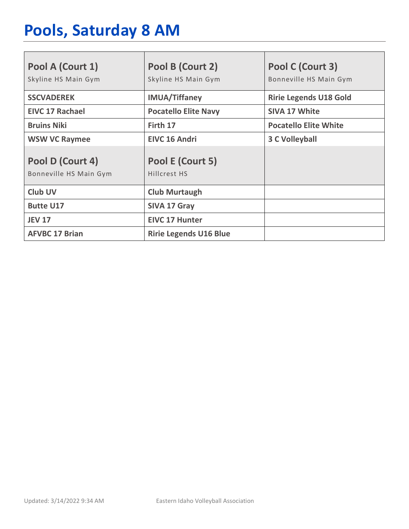# **Pools, Saturday 8 AM**

| Pool A (Court 1)<br>Skyline HS Main Gym    | Pool B (Court 2)<br>Skyline HS Main Gym | Pool C (Court 3)<br>Bonneville HS Main Gym |
|--------------------------------------------|-----------------------------------------|--------------------------------------------|
| <b>SSCVADEREK</b>                          | <b>IMUA/Tiffaney</b>                    | <b>Ririe Legends U18 Gold</b>              |
| <b>EIVC 17 Rachael</b>                     | <b>Pocatello Elite Navy</b>             | <b>SIVA 17 White</b>                       |
| <b>Bruins Niki</b>                         | Firth 17                                | <b>Pocatello Elite White</b>               |
| <b>WSW VC Raymee</b>                       | <b>EIVC 16 Andri</b>                    | <b>3 C Volleyball</b>                      |
| Pool D (Court 4)<br>Bonneville HS Main Gym | Pool E (Court 5)<br>Hillcrest HS        |                                            |
| <b>Club UV</b>                             | <b>Club Murtaugh</b>                    |                                            |
| <b>Butte U17</b>                           | <b>SIVA 17 Gray</b>                     |                                            |
| <b>JEV 17</b>                              | <b>EIVC 17 Hunter</b>                   |                                            |
| <b>AFVBC 17 Brian</b>                      | <b>Ririe Legends U16 Blue</b>           |                                            |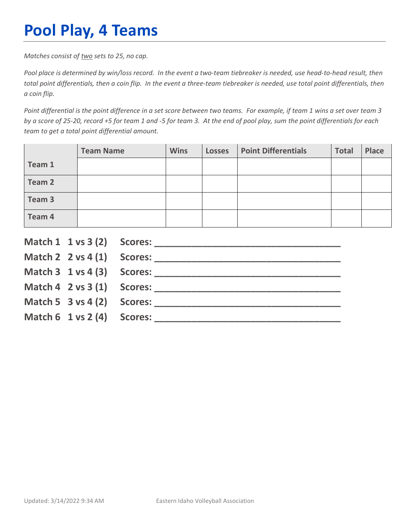## **Pool Play, 4 Teams**

*Matches consist of two sets to 25, no cap.*

*Pool place is determined by win/loss record. In the event a two-team tiebreaker is needed, use head-to-head result, then total point differentials, then a coin flip. In the event a three-team tiebreaker is needed, use total point differentials, then a coin flip.*

*Point differential is the point difference in a set score between two teams. For example, if team 1 wins a set over team 3 by a score of 25-20, record +5 for team 1 and -5 for team 3. At the end of pool play, sum the point differentials for each team to get a total point differential amount.* 

|        | <b>Team Name</b> | <b>Wins</b> | <b>Losses</b> | <b>Point Differentials</b> | <b>Total</b> | <b>Place</b> |
|--------|------------------|-------------|---------------|----------------------------|--------------|--------------|
| Team 1 |                  |             |               |                            |              |              |
| Team 2 |                  |             |               |                            |              |              |
| Team 3 |                  |             |               |                            |              |              |
| Team 4 |                  |             |               |                            |              |              |

|                                        | Match $2 \times 4(1)$ Scores:              |
|----------------------------------------|--------------------------------------------|
|                                        |                                            |
|                                        | Match $4 \quad 2 \text{ vs } 3(1)$ Scores: |
| Match 5 $3$ vs 4 (2) Scores:           |                                            |
| Match $6 \t1 \text{ vs } 2(4)$ Scores: |                                            |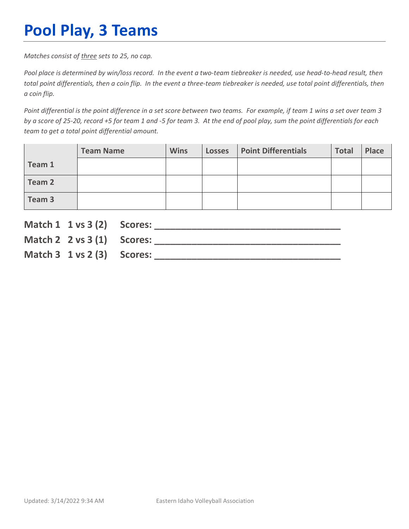## **Pool Play, 3 Teams**

*Matches consist of three sets to 25, no cap.*

*Pool place is determined by win/loss record. In the event a two-team tiebreaker is needed, use head-to-head result, then total point differentials, then a coin flip. In the event a three-team tiebreaker is needed, use total point differentials, then a coin flip.*

*Point differential is the point difference in a set score between two teams. For example, if team 1 wins a set over team 3 by a score of 25-20, record +5 for team 1 and -5 for team 3. At the end of pool play, sum the point differentials for each team to get a total point differential amount.* 

|        | <b>Team Name</b> | <b>Wins</b> | <b>Losses</b> | <b>Point Differentials</b> | <b>Total</b> | Place |
|--------|------------------|-------------|---------------|----------------------------|--------------|-------|
| Team 1 |                  |             |               |                            |              |       |
| Team 2 |                  |             |               |                            |              |       |
| Team 3 |                  |             |               |                            |              |       |

| Match 1 1 vs 3 (2) Scores:             |  |
|----------------------------------------|--|
| Match 2 $2 \text{ vs } 3(1)$ Scores:   |  |
| Match $3 \t1 \text{ vs } 2(3)$ Scores: |  |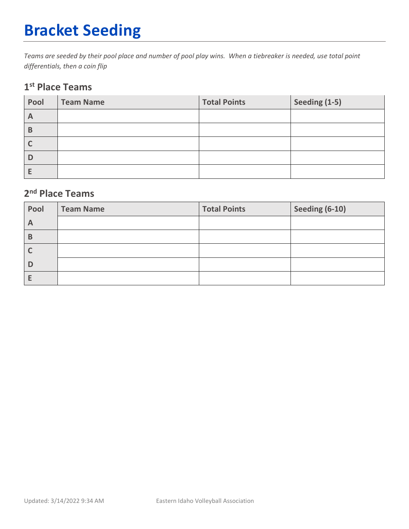# **Bracket Seeding**

*Teams are seeded by their pool place and number of pool play wins. When a tiebreaker is needed, use total point differentials, then a coin flip*

#### **1st Place Teams**

| Pool         | <b>Team Name</b> | <b>Total Points</b> | Seeding (1-5) |
|--------------|------------------|---------------------|---------------|
| $\mathsf{A}$ |                  |                     |               |
| B            |                  |                     |               |
|              |                  |                     |               |
| D            |                  |                     |               |
|              |                  |                     |               |

### **2nd Place Teams**

| Pool         | <b>Team Name</b> | <b>Total Points</b> | Seeding (6-10) |
|--------------|------------------|---------------------|----------------|
| $\mathsf{A}$ |                  |                     |                |
| В            |                  |                     |                |
|              |                  |                     |                |
|              |                  |                     |                |
|              |                  |                     |                |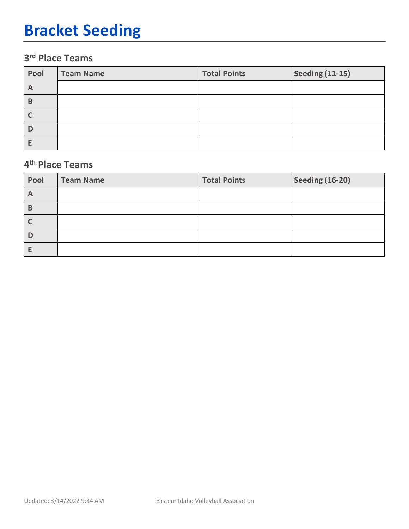## **Bracket Seeding**

### **3rd Place Teams**

| Pool | <b>Team Name</b> | <b>Total Points</b> | <b>Seeding (11-15)</b> |
|------|------------------|---------------------|------------------------|
| A    |                  |                     |                        |
| B    |                  |                     |                        |
|      |                  |                     |                        |
| D    |                  |                     |                        |
|      |                  |                     |                        |

#### **4th Place Teams**

| Pool         | <b>Team Name</b> | <b>Total Points</b> | <b>Seeding (16-20)</b> |
|--------------|------------------|---------------------|------------------------|
| $\mathsf{A}$ |                  |                     |                        |
| B            |                  |                     |                        |
|              |                  |                     |                        |
| D            |                  |                     |                        |
|              |                  |                     |                        |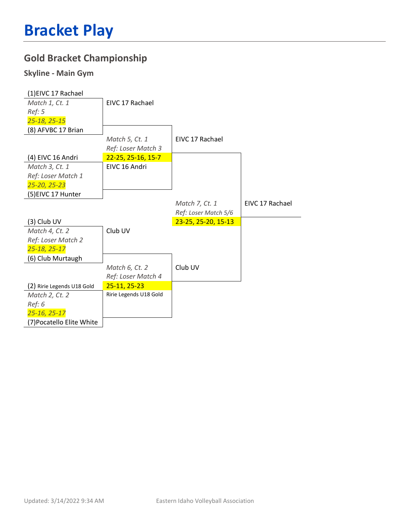## **Gold Bracket Championship**

#### **Skyline - Main Gym**

| (1) EIVC 17 Rachael        |                        |                      |                 |
|----------------------------|------------------------|----------------------|-----------------|
| Match 1, Ct. 1             | EIVC 17 Rachael        |                      |                 |
| Ref: 5                     |                        |                      |                 |
| 25-18, 25-15               |                        |                      |                 |
| (8) AFVBC 17 Brian         |                        |                      |                 |
|                            | Match 5, Ct. 1         | EIVC 17 Rachael      |                 |
|                            | Ref: Loser Match 3     |                      |                 |
| (4) EIVC 16 Andri          | 22-25, 25-16, 15-7     |                      |                 |
| Match 3, Ct. 1             | EIVC 16 Andri          |                      |                 |
| Ref: Loser Match 1         |                        |                      |                 |
| 25-20, 25-23               |                        |                      |                 |
| (5) EIVC 17 Hunter         |                        |                      |                 |
|                            |                        | Match 7, Ct. 1       | EIVC 17 Rachael |
|                            |                        | Ref: Loser Match 5/6 |                 |
| (3) Club UV                |                        |                      |                 |
|                            |                        | 23-25, 25-20, 15-13  |                 |
| Match 4, Ct. 2             | Club UV                |                      |                 |
| Ref: Loser Match 2         |                        |                      |                 |
| 25-18, 25-17               |                        |                      |                 |
| (6) Club Murtaugh          |                        |                      |                 |
|                            | Match 6, Ct. 2         | Club UV              |                 |
|                            | Ref: Loser Match 4     |                      |                 |
| (2) Ririe Legends U18 Gold | 25-11, 25-23           |                      |                 |
| Match 2, Ct. 2             | Ririe Legends U18 Gold |                      |                 |
| Ref: 6                     |                        |                      |                 |
| 25-16, 25-17               |                        |                      |                 |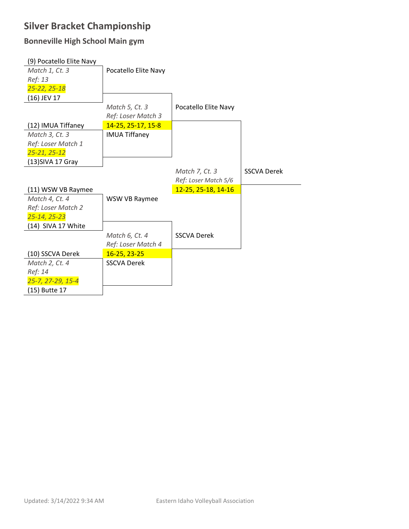### **Silver Bracket Championship**

#### **Bonneville High School Main gym**

| (9) Pocatello Elite Navy |                      |                      |                    |
|--------------------------|----------------------|----------------------|--------------------|
| Match 1, Ct. 3           | Pocatello Elite Navy |                      |                    |
| Ref: 13                  |                      |                      |                    |
| 25-22, 25-18             |                      |                      |                    |
| (16) JEV 17              |                      |                      |                    |
|                          | Match 5, Ct. 3       | Pocatello Elite Navy |                    |
|                          | Ref: Loser Match 3   |                      |                    |
| (12) IMUA Tiffaney       | 14-25, 25-17, 15-8   |                      |                    |
| Match 3, Ct. 3           | <b>IMUA Tiffaney</b> |                      |                    |
| Ref: Loser Match 1       |                      |                      |                    |
| $25 - 21, 25 - 12$       |                      |                      |                    |
| (13) SIVA 17 Gray        |                      |                      |                    |
|                          |                      | Match 7, Ct. 3       | <b>SSCVA Derek</b> |
|                          |                      | Ref: Loser Match 5/6 |                    |
|                          |                      |                      |                    |
| (11) WSW VB Raymee       |                      | 12-25, 25-18, 14-16  |                    |
| Match 4, Ct. 4           | WSW VB Raymee        |                      |                    |
| Ref: Loser Match 2       |                      |                      |                    |
| 25-14, 25-23             |                      |                      |                    |
| (14) SIVA 17 White       |                      |                      |                    |
|                          | Match 6, Ct. 4       | <b>SSCVA Derek</b>   |                    |
|                          | Ref: Loser Match 4   |                      |                    |
| (10) SSCVA Derek         | 16-25, 23-25         |                      |                    |
| Match 2, Ct. 4           | <b>SSCVA Derek</b>   |                      |                    |
| Ref: 14                  |                      |                      |                    |
| 25-7, 27-29, 15-4        |                      |                      |                    |